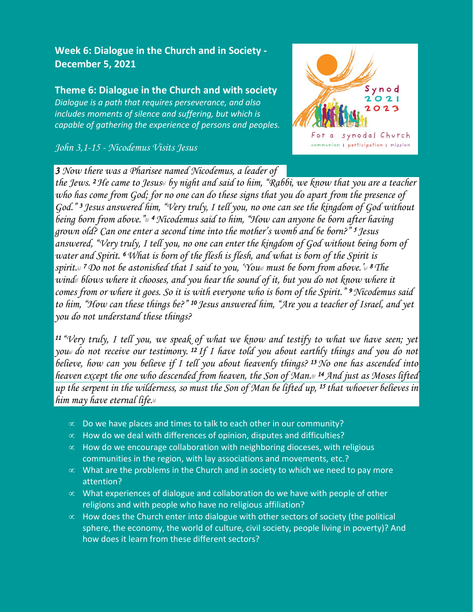## **Week 6: Dialogue in the Church and in Society - December 5, 2021**

## **Theme 6: Dialogue in the Church and with society** *Dialogue is a path that requires perseverance, and also includes moments of silence and suffering, but which is capable of gathering the experience of persons and peoples.*

*John 3,1-15 - Nicodemus Visits Jesus*



*3 Now there was a Pharisee named Nicodemus, a leader of* 

*the Jews. <sup>2</sup>He came to Jesus[\[a\]](https://www.biblegateway.com/passage/?search=john+3&version=NRSVCE#fen-NRSVCE-30385a) by night and said to him, "Rabbi, we know that you are a teacher who has come from God; for no one can do these signs that you do apart from the presence of God." <sup>3</sup>Jesus answered him, "Very truly, I tell you, no one can see the kingdom of God without being born from above."[\[b\]](https://www.biblegateway.com/passage/?search=john+3&version=NRSVCE#fen-NRSVCE-30386b) <sup>4</sup>Nicodemus said to him, "How can anyone be born after having grown old? Can one enter a second time into the mother's womb and be born?" <sup>5</sup>Jesus answered, "Very truly, I tell you, no one can enter the kingdom of God without being born of water and Spirit. <sup>6</sup>What is born of the flesh is flesh, and what is born of the Spirit is spirit.*<sup>[*c]*</sup> *7Do not be astonished that I said to you, 'You<sup><i>n*</sup> must be born from above.'<sup>*[\[e\]](https://www.biblegateway.com/passage/?search=john+3&version=NRSVCE#fen-NRSVCE-30390e)*</sup> 8 The *wind[\[f\]](https://www.biblegateway.com/passage/?search=john+3&version=NRSVCE#fen-NRSVCE-30391f) blows where it chooses, and you hear the sound of it, but you do not know where it comes from or where it goes. So it is with everyone who is born of the Spirit." <sup>9</sup>Nicodemus said to him, "How can these things be?" <sup>10</sup>Jesus answered him, "Are you a teacher of Israel, and yet you do not understand these things?*

*<sup>11</sup>"Very truly, I tell you, we speak of what we know and testify to what we have seen; yet you[\[g\]](https://www.biblegateway.com/passage/?search=john+3&version=NRSVCE#fen-NRSVCE-30394g) do not receive our testimony. <sup>12</sup>If I have told you about earthly things and you do not believe, how can you believe if I tell you about heavenly things? <sup>13</sup>No one has ascended into heaven except the one who descended from heaven, the Son of Man.ii <sup>14</sup> And just as Moses lifted up the serpent in the wilderness, so must the Son of Man be lifted up, <sup>15</sup> that whoever believes in him may have eternal life[.](https://www.biblegateway.com/passage/?search=john+3&version=NRSVCE#fen-NRSVCE-30398i) [i]*

- $\infty$  Do we have places and times to talk to each other in our community?
- $\infty$  How do we deal with differences of opinion, disputes and difficulties?
- $\infty$  How do we encourage collaboration with neighboring dioceses, with religious communities in the region, with lay associations and movements, etc.?
- $\infty$  What are the problems in the Church and in society to which we need to pay more attention?
- $\infty$  What experiences of dialogue and collaboration do we have with people of other religions and with people who have no religious affiliation?
- $\infty$  How does the Church enter into dialogue with other sectors of society (the political sphere, the economy, the world of culture, civil society, people living in poverty)? And how does it learn from these different sectors?